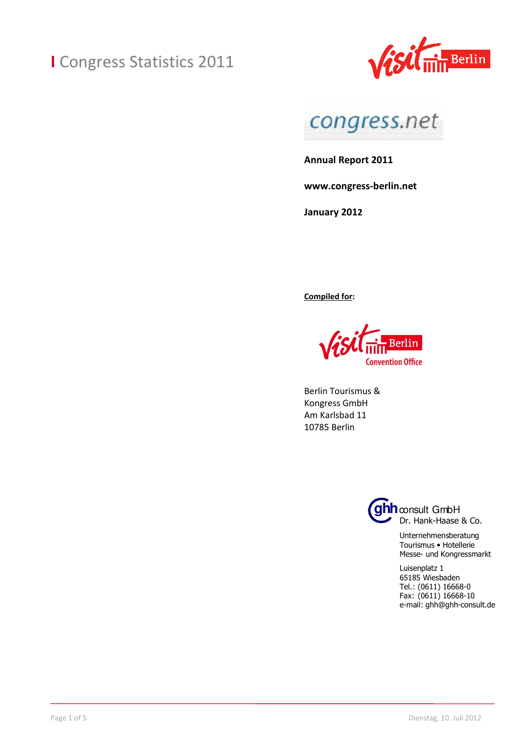



**Annual Report 2011** 

**www.congress-berlin.net** 

**January 2012** 

**Compiled for:** 

Berlin **Convention Office** 

Berlin Tourismus & Kongress GmbH Am Karlsbad 11 10785 Berlin



Unternehmensberatung Tourismus • Hotellerie Messe- und Kongressmarkt

Luisenplatz 1 65185 Wiesbaden Tel.: (0611) 16668-0 Fax: (0611) 16668-10 e-mail: ghh@ghh-consult.de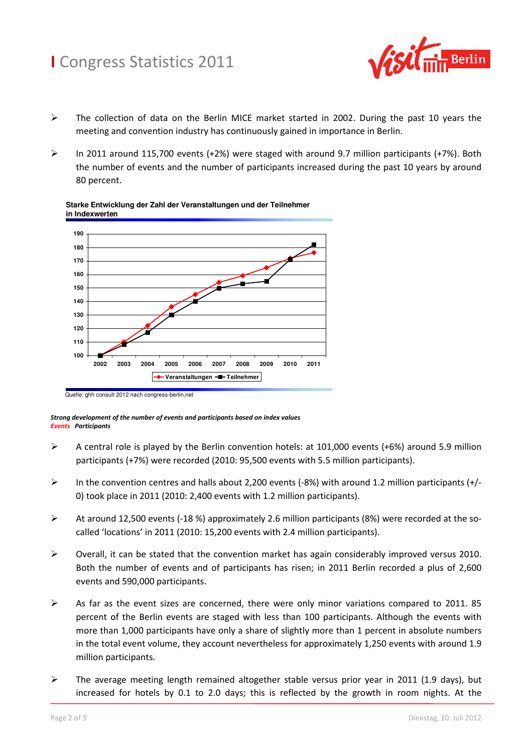

- $\triangleright$  The collection of data on the Berlin MICE market started in 2002. During the past 10 years the meeting and convention industry has continuously gained in importance in Berlin.
- $\triangleright$  In 2011 around 115,700 events (+2%) were staged with around 9.7 million participants (+7%). Both the number of events and the number of participants increased during the past 10 years by around 80 percent.



#### **Starke Entwicklung der Zahl der Veranstaltungen und der Teilnehmer in Indexwerten**

*Strong development of the number of events and participants based on index values Events Participants*

- A central role is played by the Berlin convention hotels: at 101,000 events (+6%) around 5.9 million participants (+7%) were recorded (2010: 95,500 events with 5.5 million participants).
- $\triangleright$  In the convention centres and halls about 2,200 events (-8%) with around 1.2 million participants (+/-0) took place in 2011 (2010: 2,400 events with 1.2 million participants).
- At around 12,500 events (-18 %) approximately 2.6 million participants (8%) were recorded at the socalled 'locations' in 2011 (2010: 15,200 events with 2.4 million participants).
- $\triangleright$  Overall, it can be stated that the convention market has again considerably improved versus 2010. Both the number of events and of participants has risen; in 2011 Berlin recorded a plus of 2,600 events and 590,000 participants.
- $\triangleright$  As far as the event sizes are concerned, there were only minor variations compared to 2011. 85 percent of the Berlin events are staged with less than 100 participants. Although the events with more than 1,000 participants have only a share of slightly more than 1 percent in absolute numbers in the total event volume, they account nevertheless for approximately 1,250 events with around 1.9 million participants.
- $\triangleright$  The average meeting length remained altogether stable versus prior year in 2011 (1.9 days), but increased for hotels by 0.1 to 2.0 days; this is reflected by the growth in room nights. At the

Quelle: ghh consult 2012 nach congress-berlin.net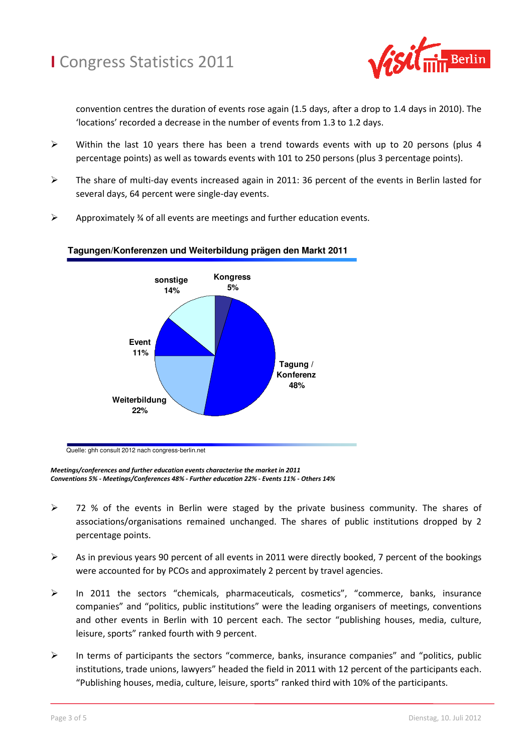

convention centres the duration of events rose again (1.5 days, after a drop to 1.4 days in 2010). The 'locations' recorded a decrease in the number of events from 1.3 to 1.2 days.

- $\triangleright$  Within the last 10 years there has been a trend towards events with up to 20 persons (plus 4 percentage points) as well as towards events with 101 to 250 persons (plus 3 percentage points).
- $\triangleright$  The share of multi-day events increased again in 2011: 36 percent of the events in Berlin lasted for several days, 64 percent were single-day events.
- $\triangleright$  Approximately  $\frac{3}{4}$  of all events are meetings and further education events.



#### **Tagungen/Konferenzen und Weiterbildung prägen den Markt 2011**

*Meetings/conferences and further education events characterise the market in 2011 Conventions 5% - Meetings/Conferences 48% - Further education 22% - Events 11% - Others 14%* 

- $\triangleright$  72 % of the events in Berlin were staged by the private business community. The shares of associations/organisations remained unchanged. The shares of public institutions dropped by 2 percentage points.
- $\triangleright$  As in previous years 90 percent of all events in 2011 were directly booked, 7 percent of the bookings were accounted for by PCOs and approximately 2 percent by travel agencies.
- $\triangleright$  In 2011 the sectors "chemicals, pharmaceuticals, cosmetics", "commerce, banks, insurance companies" and "politics, public institutions" were the leading organisers of meetings, conventions and other events in Berlin with 10 percent each. The sector "publishing houses, media, culture, leisure, sports" ranked fourth with 9 percent.
- $\triangleright$  In terms of participants the sectors "commerce, banks, insurance companies" and "politics, public institutions, trade unions, lawyers" headed the field in 2011 with 12 percent of the participants each. "Publishing houses, media, culture, leisure, sports" ranked third with 10% of the participants.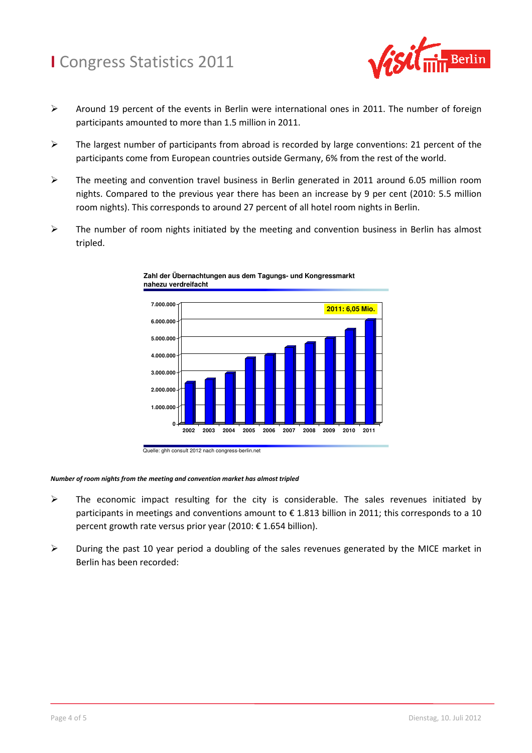

- $\triangleright$  Around 19 percent of the events in Berlin were international ones in 2011. The number of foreign participants amounted to more than 1.5 million in 2011.
- $\triangleright$  The largest number of participants from abroad is recorded by large conventions: 21 percent of the participants come from European countries outside Germany, 6% from the rest of the world.
- The meeting and convention travel business in Berlin generated in 2011 around 6.05 million room nights. Compared to the previous year there has been an increase by 9 per cent (2010: 5.5 million room nights). This corresponds to around 27 percent of all hotel room nights in Berlin.
- $\triangleright$  The number of room nights initiated by the meeting and convention business in Berlin has almost tripled.



**Zahl der Übernachtungen aus dem Tagungs- und Kongressmarkt nahezu verdreifacht**

Quelle: ghh consult 2012 nach congress-berlin.net

#### *Number of room nights from the meeting and convention market has almost tripled*

- $\triangleright$  The economic impact resulting for the city is considerable. The sales revenues initiated by participants in meetings and conventions amount to € 1.813 billion in 2011; this corresponds to a 10 percent growth rate versus prior year (2010: € 1.654 billion).
- $\triangleright$  During the past 10 year period a doubling of the sales revenues generated by the MICE market in Berlin has been recorded: